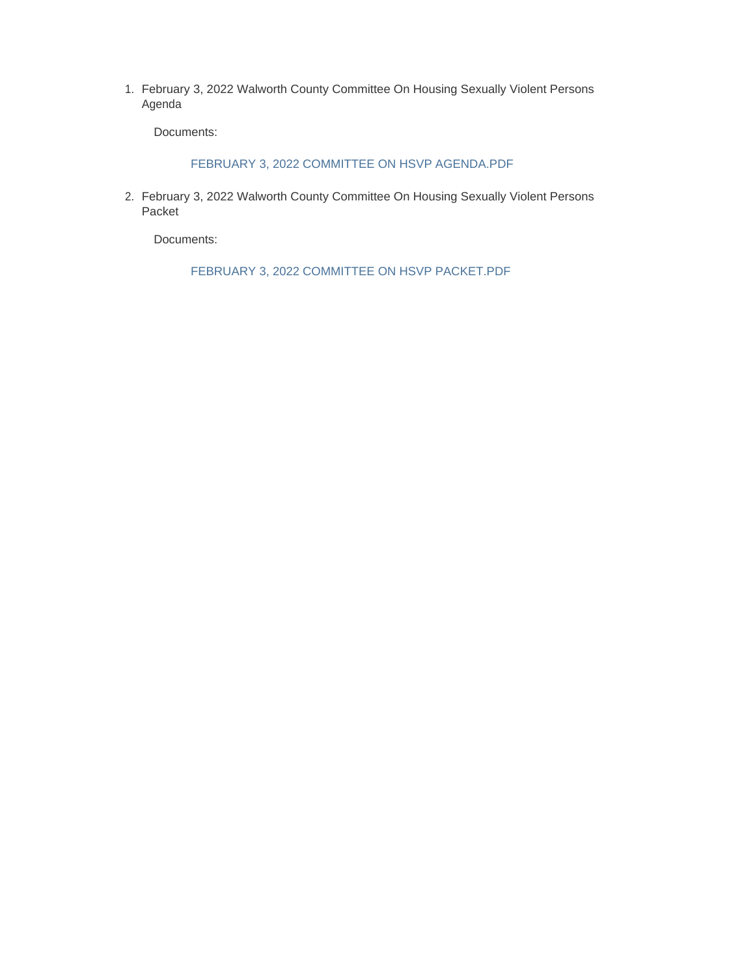February 3, 2022 Walworth County Committee On Housing Sexually Violent Persons 1. Agenda

Documents:

FEBRUARY 3, 2022 COMMITTEE ON HSVP AGENDA.PDF

2. February 3, 2022 Walworth County Committee On Housing Sexually Violent Persons Packet

Documents:

FEBRUARY 3, 2022 COMMITTEE ON HSVP PACKET.PDF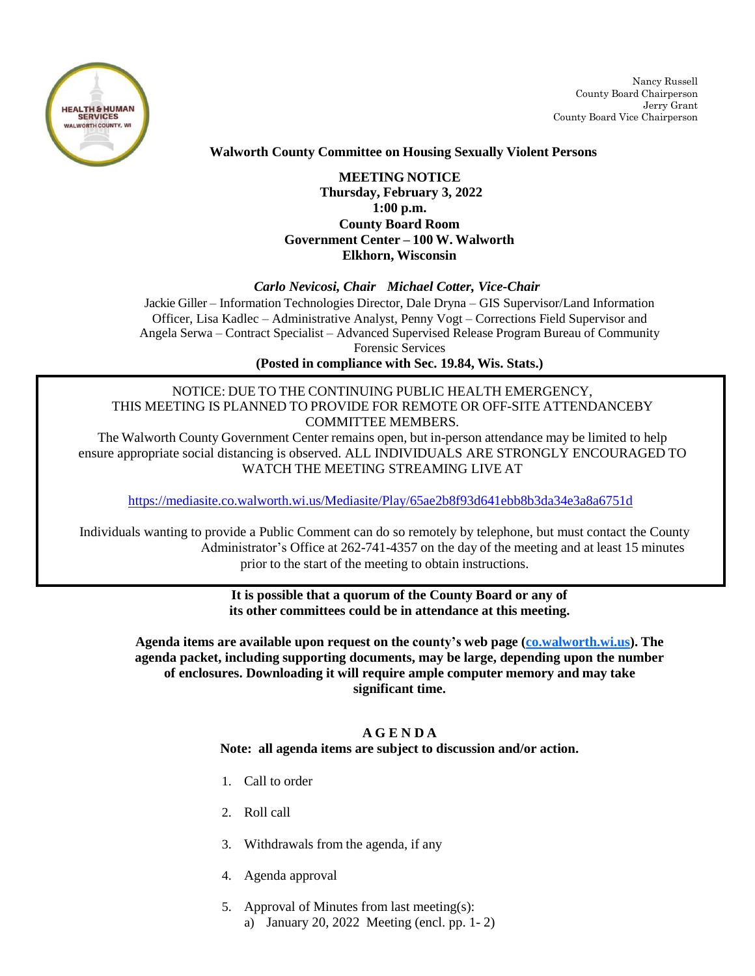

Nancy Russell County Board Chairperson Jerry Grant County Board Vice Chairperson

# **Walworth County Committee on Housing Sexually Violent Persons**

# **MEETING NOTICE Thursday, February 3, 2022 1:00 p.m. County Board Room Government Center – 100 W. Walworth Elkhorn, Wisconsin**

#### *Carlo Nevicosi, Chair Michael Cotter, Vice-Chair*

Jackie Giller – Information Technologies Director, Dale Dryna – GIS Supervisor/Land Information Officer, Lisa Kadlec – Administrative Analyst, Penny Vogt – Corrections Field Supervisor and Angela Serwa – Contract Specialist – Advanced Supervised Release Program Bureau of Community Forensic Services

**(Posted in compliance with Sec. 19.84, Wis. Stats.)**

## NOTICE: DUE TO THE CONTINUING PUBLIC HEALTH EMERGENCY, THIS MEETING IS PLANNED TO PROVIDE FOR REMOTE OR OFF-SITE ATTENDANCEBY COMMITTEE MEMBERS.

The Walworth County Government Center remains open, but in-person attendance may be limited to help ensure appropriate social distancing is observed. ALL INDIVIDUALS ARE STRONGLY ENCOURAGED TO WATCH THE MEETING STREAMING LIVE AT

<https://mediasite.co.walworth.wi.us/Mediasite/Play/65ae2b8f93d641ebb8b3da34e3a8a6751d>

Individuals wanting to provide a Public Comment can do so remotely by telephone, but must contact the County Administrator's Office at 262-741-4357 on the day of the meeting and at least 15 minutes prior to the start of the meeting to obtain instructions.

> **It is possible that a quorum of the County Board or any of its other committees could be in attendance at this meeting.**

**Agenda items are available upon request on the county's web page [\(co.walworth.wi.us\)](http://www.co.walworth.wi.us/). The agenda packet, including supporting documents, may be large, depending upon the number of enclosures. Downloading it will require ample computer memory and may take significant time.**

#### **A G E N D A**

**Note: all agenda items are subject to discussion and/or action.**

- 1. Call to order
- 2. Roll call
- 3. Withdrawals from the agenda, if any
- 4. Agenda approval
- 5. Approval of Minutes from last meeting(s): a) January 20, 2022 Meeting (encl. pp. 1- 2)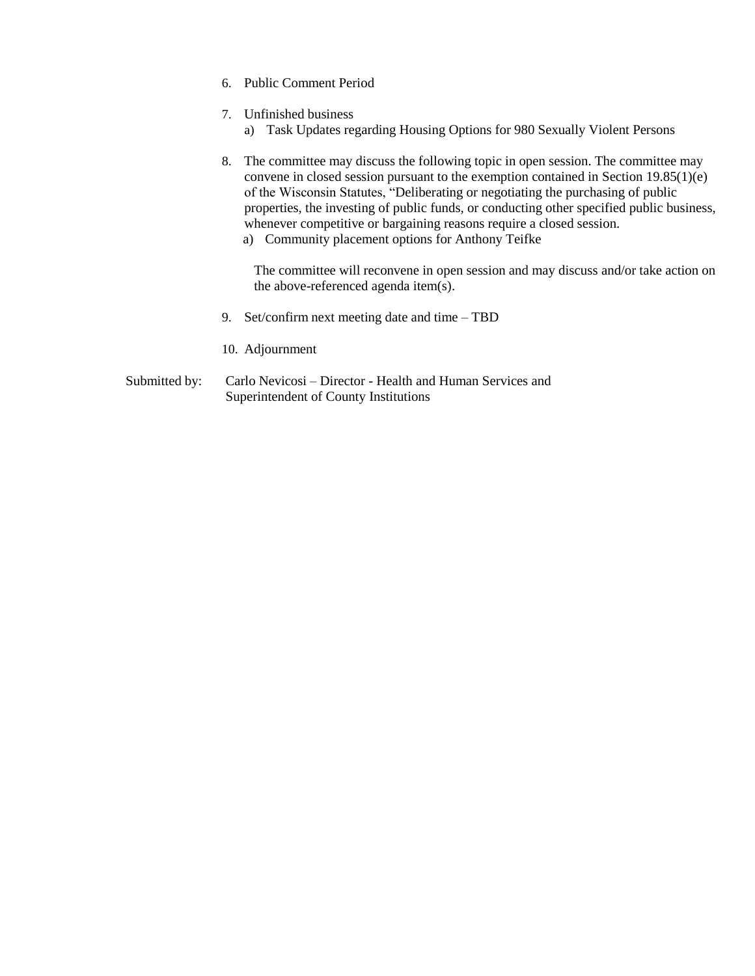- 6. Public Comment Period
- 7. Unfinished business
	- a) Task Updates regarding Housing Options for 980 Sexually Violent Persons
- 8. The committee may discuss the following topic in open session. The committee may convene in closed session pursuant to the exemption contained in Section 19.85(1)(e) of the Wisconsin Statutes, "Deliberating or negotiating the purchasing of public properties, the investing of public funds, or conducting other specified public business, whenever competitive or bargaining reasons require a closed session.
	- a) Community placement options for Anthony Teifke

The committee will reconvene in open session and may discuss and/or take action on the above-referenced agenda item(s).

- 9. Set/confirm next meeting date and time TBD
- 10. Adjournment
- Submitted by: Carlo Nevicosi Director Health and Human Services and Superintendent of County Institutions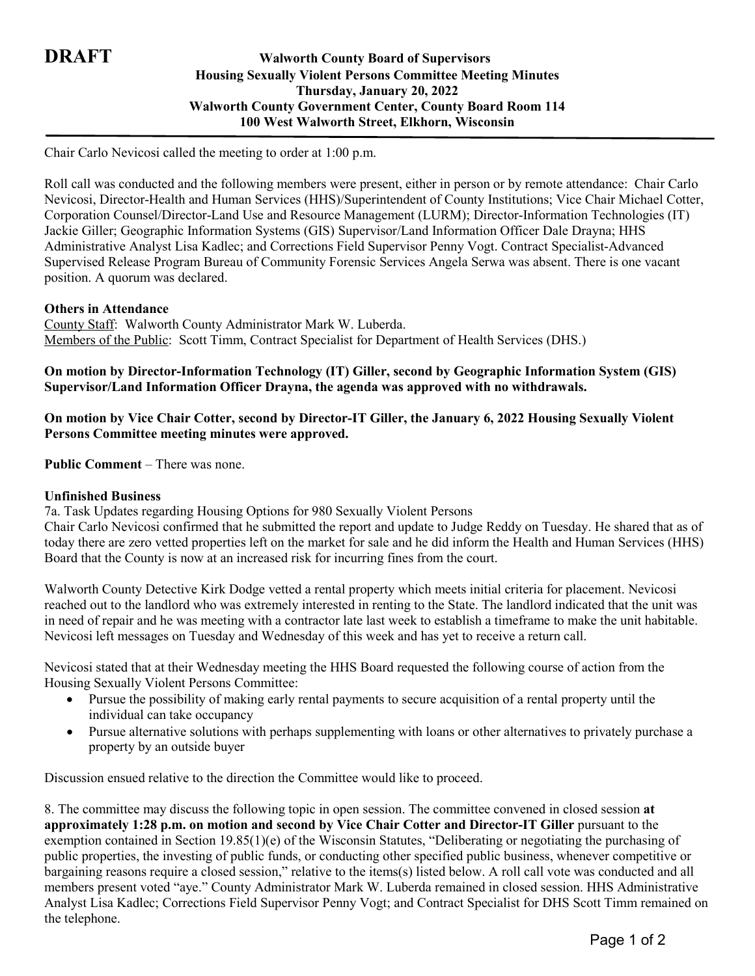# **DRAFT Walworth County Board of Supervisors Housing Sexually Violent Persons Committee Meeting Minutes Thursday, January 20, 2022 Walworth County Government Center, County Board Room 114 100 West Walworth Street, Elkhorn, Wisconsin**

Chair Carlo Nevicosi called the meeting to order at 1:00 p.m.

Roll call was conducted and the following members were present, either in person or by remote attendance: Chair Carlo Nevicosi, Director-Health and Human Services (HHS)/Superintendent of County Institutions; Vice Chair Michael Cotter, Corporation Counsel/Director-Land Use and Resource Management (LURM); Director-Information Technologies (IT) Jackie Giller; Geographic Information Systems (GIS) Supervisor/Land Information Officer Dale Drayna; HHS Administrative Analyst Lisa Kadlec; and Corrections Field Supervisor Penny Vogt. Contract Specialist-Advanced Supervised Release Program Bureau of Community Forensic Services Angela Serwa was absent. There is one vacant position. A quorum was declared.

#### **Others in Attendance**

County Staff: Walworth County Administrator Mark W. Luberda. Members of the Public: Scott Timm, Contract Specialist for Department of Health Services (DHS.)

### **On motion by Director-Information Technology (IT) Giller, second by Geographic Information System (GIS) Supervisor/Land Information Officer Drayna, the agenda was approved with no withdrawals.**

## **On motion by Vice Chair Cotter, second by Director-IT Giller, the January 6, 2022 Housing Sexually Violent Persons Committee meeting minutes were approved.**

**Public Comment** – There was none.

#### **Unfinished Business**

7a. Task Updates regarding Housing Options for 980 Sexually Violent Persons

Chair Carlo Nevicosi confirmed that he submitted the report and update to Judge Reddy on Tuesday. He shared that as of today there are zero vetted properties left on the market for sale and he did inform the Health and Human Services (HHS) Board that the County is now at an increased risk for incurring fines from the court.

Walworth County Detective Kirk Dodge vetted a rental property which meets initial criteria for placement. Nevicosi reached out to the landlord who was extremely interested in renting to the State. The landlord indicated that the unit was in need of repair and he was meeting with a contractor late last week to establish a timeframe to make the unit habitable. Nevicosi left messages on Tuesday and Wednesday of this week and has yet to receive a return call.

Nevicosi stated that at their Wednesday meeting the HHS Board requested the following course of action from the Housing Sexually Violent Persons Committee:

- Pursue the possibility of making early rental payments to secure acquisition of a rental property until the individual can take occupancy
- Pursue alternative solutions with perhaps supplementing with loans or other alternatives to privately purchase a property by an outside buyer

Discussion ensued relative to the direction the Committee would like to proceed.

8. The committee may discuss the following topic in open session. The committee convened in closed session **at approximately 1:28 p.m. on motion and second by Vice Chair Cotter and Director-IT Giller** pursuant to the exemption contained in Section 19.85(1)(e) of the Wisconsin Statutes, "Deliberating or negotiating the purchasing of public properties, the investing of public funds, or conducting other specified public business, whenever competitive or bargaining reasons require a closed session," relative to the items(s) listed below. A roll call vote was conducted and all members present voted "aye." County Administrator Mark W. Luberda remained in closed session. HHS Administrative Analyst Lisa Kadlec; Corrections Field Supervisor Penny Vogt; and Contract Specialist for DHS Scott Timm remained on the telephone.